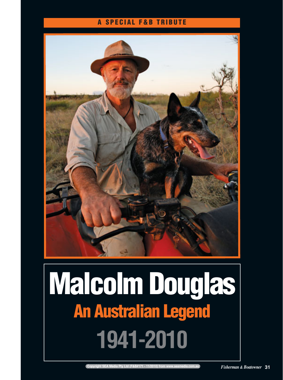## **A SPECIAL F&B TRIBUTE**



## **Malcolm Douglas An Australian Legend 1941-2010**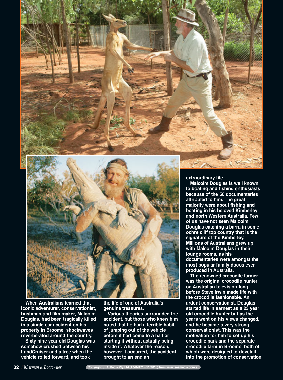

**When Australians learned that iconic adventurer, conservationist, bushman and film maker, Malcolm Douglas, had been tragically killed in a single car accident on his property in Broome, shockwaves reverberated around the country.** 

**Sixty nine year old Douglas was somehow crushed between his LandCruiser and a tree when the vehicle rolled forward, and took**

**the life of one of Australia's genuine treasures.** 

**Various theories surrounded the accident, but those who knew him noted that he had a terrible habit of jumping out of the vehicle before it had come to a halt or starting it without actually being inside it. Whatever the reason, however it occurred, the accident brought to an end an**

**extraordinary life.**

**Malcolm Douglas is well known to boating and fishing enthusiasts because of the 50 documentaries attributed to him. The great majority were about fishing and boating in his beloved Kimberley and north Western Australia. Few of us have not seen Malcolm Douglas catching a barra in some ochre cliff top country that is the signature of the Kimberley. Millions of Australians grew up with Malcolm Douglas in their lounge rooms, as his documentaries were amongst the most popular family docos ever produced in Australia.**

**The renowned crocodile farmer was the original crocodile hunter on Australian television long before Steve Irwin made life with the crocodile fashionable. An ardent conservationist, Douglas started life in earnest as a 23 year old crocodile hunter but as the years went on his views changed, and he became a very strong conservationist. This was the motivation for him to set up his crocodile park and the separate crocodile farm in Broome, both of which were designed to dovetail into the promotion of conservation**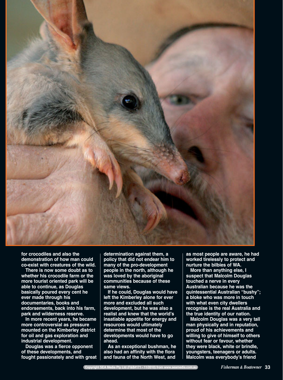

**for crocodiles and also the demonstration of how man could co-exist with creatures of the wild.**

**There is now some doubt as to whether his crocodile farm or the more tourist oriented park will be able to continue, as Douglas basically poured every cent he ever made through his documentaries, books and endorsements, back into his farm, park and wilderness reserve.**

**In more recent years, he became more controversial as pressure mounted on the Kimberley district for oil and gas exploration and industrial development.** 

**Douglas was a fierce opponent of these developments, and fought passionately and with great** **determination against them, a policy that did not endear him to many of the pro-development people in the north, although he was loved by the aboriginal communities because of these same views.** 

**If he could, Douglas would have left the Kimberley alone for ever more and excluded all such development, but he was also a realist and knew that the world's insatiable appetite for energy and resources would ultimately determine that most of the developments would have to go ahead.**

**As an exceptional bushman, he also had an affinity with the flora and fauna of the North West, and**

**as most people are aware, he had worked tirelessly to protect and nurture the bilbies of WA.**

**More than anything else, I suspect that Malcolm Douglas touched a nerve in every Australian because he was the quintessential Australian "bushy"; a bloke who was more in touch with what even city dwellers recognise is the real Australia and the true identity of our nation.** 

**Malcolm Douglas was a very tall man physically and in reputation, proud of his achievements and willing to give of himself to others without fear or favour, whether they were black, white or brindle, youngsters, teenagers or adults. Malcolm was everybody's friend**